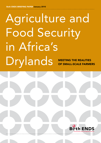# Agriculture and Food Security in Africa's Drylands MEETING THE REALITII OF SMALL-SCALE F/

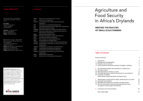## Table of Contents

# Agriculture and Food Security in Africa's Drylands

## MEETING THE REALITII OF SMALL-SCALE FA

#### Executive Summary

1 Introduction

- 1.1 Drylands and land d 1.2 Drylands and rural
- 1.3 Local innovations and
- $2$  The international de
- 2.1 The policy context
- 2.2 New approaches or
- 2.3 The Green Revolution
- 2.4 A paradox unravelle Dutch policies towa
	-
- 3 Opportunities to m
- 3.1 Successful local initi 3.2 Spreading local exp
- 3.3 How the internation
- can support and en
- 4 Conclusions and red

Telephone +31 20 623 08 23 Fax +31 20 620 80 49 E-mail info@bothends.org Website www.bothends.org

| Text Nathalie van Haren <sup>1</sup> , Noel Oettle <sup>2</sup> , |
|-------------------------------------------------------------------|
| Marie José van der Werff ten B <u>osch<sup>1</sup> and</u>        |
| Paul Wolvekamp <sup>1</sup>                                       |
| 1 Both ENDS, the Netherlands                                      |
| 2 EMG, South Africa                                               |
| <b>Editing</b> Nicholas Parrott, TextualHealing.nl,               |
| Wageningen, the Netherlands                                       |
| Design Margo Vlamings, Arnhem                                     |
| Printing Drukkerij Roos en Roos, Arnhem                           |

Role of Both ENDS

|                                                 | 3       |
|-------------------------------------------------|---------|
|                                                 | 4       |
| degradation                                     | 4       |
| poverty                                         | 5       |
| nd poverty reduction strategies in drylands     | 6       |
| ebate about agriculture in dryland areas        | 7       |
|                                                 | 8       |
| business as usual?                              | 8       |
| on revisited: old solutions for new problems?   | 10      |
| ed:                                             | $12 \,$ |
| ards agriculture and dryland areas              |         |
| ake positive change: addressing the root causes | 15      |
| iatives                                         | 15      |
| beriences: obstacles and opportunities          | 17      |
| nal community and national governments          | 18      |
| courage local initiatives                       |         |
| commendations                                   | 20      |
|                                                 | 24      |

## © Both ENDS 2010 Acronyms

#### Both ENDS Briefing Papers present

information on important environmental and developmental issues. Readers are encouraged to quote or use material from the Briefing Papers for their own publications or articles, but we request acknowledgement and a copy of the publication. The Both ENDS Briefing Paper Series is also available on the web: www.bothends.org, together with other Both ENDS publications, fact sheets, reports and news articles.



*Orders and all other correspondence concerning this publication should be sent to:*

#### Both ENDS

Nieuwe Keizersgracht 45 1018 VC Amsterdam The Netherlands

| <b>AGRA</b>   | Alliance for a Green Revolution in Africa               |  |  |  |
|---------------|---------------------------------------------------------|--|--|--|
| <b>AUC</b>    | <b>African Union Commission</b>                         |  |  |  |
| <b>CAAPD</b>  | Comprehensive Africa Agriculture Development            |  |  |  |
|               | Programme                                               |  |  |  |
| <b>CSD</b>    | Commission on Sustainable Development                   |  |  |  |
| <b>FAO</b>    | (The United Nations) Food and Agricultural Organisation |  |  |  |
| <b>GEF</b>    | <b>Global Environmental Facility</b>                    |  |  |  |
| <b>GGWSSI</b> | Great Green Wall for the Sahara and Sahel Initiative    |  |  |  |
| <b>IAASTD</b> | International Assessment of Agricultural Science and    |  |  |  |
|               | Technology for Development                              |  |  |  |
| <b>MDG</b>    | Millennium Development Goal                             |  |  |  |
| <b>NEPAD</b>  | The New Partnership for Africa's Development            |  |  |  |
| <b>ODA</b>    | Overseas Development Assistance                         |  |  |  |
| <b>PACD</b>   | Plan of Action to Combat Desertification                |  |  |  |
| <b>PSRP</b>   | Poverty Reduction Strategy Paper.                       |  |  |  |
| <b>UNCCD</b>  | United Nations Convention to Combat Desertification     |  |  |  |
| <b>UNCED</b>  | United Nations Commission on the Environment and        |  |  |  |
|               | Development                                             |  |  |  |
| <b>UNCOD</b>  | United Nations Conference on Desertification            |  |  |  |
| <b>UNDP</b>   | United Nations Development Programme                    |  |  |  |
| <b>UNEP</b>   | United Nations Environmental Programme                  |  |  |  |
|               | UNESCO United Nations Educational, Social and Cultural  |  |  |  |
|               | Organisation                                            |  |  |  |
| <b>WHO</b>    | World Health Organisation                               |  |  |  |
| WSSD          | World Summit on Sustainable Development                 |  |  |  |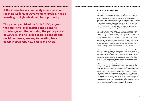If the international community is serious about reaching Millenium Development Goals 1, 7 and 8, investing in drylands should be top priority.

This paper, published by Both ENDS, argues that marrying local practice and scientific knowledge and that ensuring the participation of CSO's in linking local people, scientists and decision-makers, are key to meeting basic needs in drylands, now and in the future.

## Executive Summary

Some 40% of the earth's land surface is covered by semi-arid and arid ecosystems, otherwise known as drylands. More than two thirds of Africa and virtually all of the Middle East are classified as drylands. The great majority of people who live in these regions are highly dependent on these natural ecosystems for their livelihoods, which provide them with sustenance and shelter. These ecosystems have a delicate state of balance, which can easily be disrupted by land use changes, increasing pressure on resource use, climate change or a combination of all three. Some 70% of the world's drylands are affected by degradation, endangering the livelihoods of the people who live there. And some 70% of the world's poor and hungry live in drylands.

This paper examines the existing divide between current development policies related to agriculture and those related to drylands (at the international level, as well as those of the Dutch government) and the reality of food production in these, often hostile (physical and economic) environments. It argues that 'silverbullet' solutions are unlikely to be successful in such situations and that far more grassroots involvement is required in selecting, developing and experimenting with new approaches to solving the food crisis. The central role of women in food production also needs to be acknowledged and supported if any progress is to be made towards meeting MDG1. Marrying local knowledge with scientific knowledge is not an easy task. Neither is it easy to align the interests of local communities with the priorities and operating procedures of donors and external agencies. But these challenges have to be faced. This paper points out the challenges and suggestions are made for potential ways forward.

The global food crisis of 2007-8 prompted a welcome re-evaluation among the international community of the centrality of agriculture in development. Donors and investors have once again woken up to the fundamental importance of agriculture. New moves are afoot, particularly in Africa, to strengthen the role and position of agriculture and ensure a stable food supply. Yet many of these initiatives fail to grasp the realities, both environmental and economic, which most small-scale dryland farmers grapple with on a daily basis. Standard prescriptions for increasing agricultural productivity are unlikely to work in drylands. Agricultural interventions in drylands need to be tailored to local realities if they are to have any impact on these, the most food insecure, areas of the world.

Many dryland communities are developing responses to the problems they are facing. These draw on their own knowledge and often seek to strengthen their resilience by building on diversity and unique local characteristics. Yet such approaches often fall below the radar of policy makers and donors. If the joint goals of increasing food production, halving the number of hungry people in the world and maintaining the (dryland) environments on which these people depend are to be met it is essential that stronger bridges are built between policy prescriptions and grassroots experiences.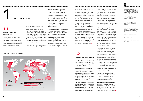on the resource base, inadequate infrastructure and poor access to services (training, credit, etc.) and markets. According to the Africa Environment Outlook 2, diminishing soil fertility is often caused by the increasing use of inorganic chemicals, the reduction of fallow systems, increased monoculture and the cultivation of marginal areas1. The effects of climate change, such as erratic rainfall and droughts add to this. Sometimes changes in land use practices are driven by shortterm financial gain (for example large-scale mono-cropping or mining) which involve powerful interests that often take precedence over local food security. Issues of tenure, user rights and protective laws all strongly influence the opportunities that people have to use the land and its resources in a sustainable way. ■



1.2

#### Drylands and rural poverty

The first Millennium Development Goal focuses on reducing poverty and enhancing food security by 2015. Today, 70% of people suffering from serious and permanent under-nourishment (an estimated 1 billion people) live in semi-arid and arid zones, especially in Africa. Sub-Saharan Africa is the only region in the world where average yields in grain harvests have not increased and food production per capita has decreased since the 1980's.

In 1983, Robert Chambers published a book entitled 'Rural Development: Putting the last first'. This book's key message was that the world's poor are concentrated in rural areas and that outsiders trying to understand

Subsistence farmers are not, and are unlikely in the near future to successfully become, linked to world markets. But they can realistically expect to derive their income from local markets. Yet community supported projects and research indicate that the attempts to expand the production of commodity products for global markets is having a substantial negative impact on dryland areas.

poverty suffer from a series of biases that prevent them from reaching the poor or perceiving their problems. Twenty six years later poverty alleviation efforts still fail to focus on the challenges facing the world's rural poor. Between 1990 and 2004, rich countries reduced the proportion of development funds devoted to agriculture, the mainstay of most poor people's livelihoods, from 12% to 4%2.

 $1$ From UNEP (2006): Africa Environment Outlook 2. Nairobi: UNEP: Part F.

Glossing over large differences between regions and households, the majority of farmers in Africa are smallholders, with access to less than two hectares of land and facing food shortages for at least three months a year<sup>3</sup>. Since the 1980s the average amount of arable land available per capita on the continent has declined from 0.38 to 0.25 ha, driven by both population growth and the exhaustion of existing arable land.

#### Drylands and land **DEGRADATION**

#### potential of the land. The causes<br>
can be natural, man-made or a<br>
combination of the two. Dryland<br>
ecosystems have a specific and<br>
well-evolved balance between planimals, soils, water and people,<br>
but it is a fragile balan can be natural, man-made or a combination of the two. Dryland ecosystems have a specific and well-evolved balance between plants, animals, soils, water and people, but it is a fragile balance that is very easily disturbed and, once disturbed, very hard to restore. This is why it is so important to try to prevent degradation and desertification before they occur.

Growth in the agricultural sector and in off-farm employment (especially in small and medium enterprises) has a crucial role to play in improving the livelihoods of poor rural people. Intensification of agricultural production is needed to meet the food needs of the poor and this requires investments in soil fertility4. However, agricultural growth alone will not produce a decline in rural poverty. In most cases, the rural poor cannot compete in the marketplace or profit from international or regional trade developments.

\*Source: Millennium Ecosystem Assessment, 2005. Ecosystems and Human Well-being: Desertification Synthesis. World Resources Institute, Washington, DC.

2NRC Handelsblad, 9/5/2008: Investments in agriculture back on the agenda.

3See Diagana, B (2003): Land Degradation in Sub-Saharan Africa: what explains the widespread adoption of unsustainable farming practices? Montana State University / Dept of Agricultural Economics.

4See for instance the findings of a CIAT/TSBF/ICRAF (CGIAR) workshop on soil fertility in Sub-Saharan Africa held in 2002.

regions are highly dependent on rearing livestock and on cultivation,

activities which rely on the quality of (and continued access to) natural resources, especially land and water. In most dryland countries these activities account for 30-50% of Gross Domestic Product and an even higher proportion of people's livelihoods. At the present time some 70% of the world's drylands are affected by degradation.

Land degradation and desertification reduce the biological and productive

## **INTRODUCTION**

# 1.1

Some 40% of the earth's land surface is covered by semi-arid and arid ecosystems, otherwise known as drylands. More than two thirds of Africa and virtually all of the Middle East are classified as drylands. The majority of people who live in these

While there is a wealth of traditional knowledge about sound land use methods in most regions of the world, many dryland areas are experiencing changing land use practices (e.g. the burning of agricultural residues, ploughing techniques) that lead to the impoverishment of the soil and undermine production. These problems are exacerbated by climate change, increasing population pressure and competing demands

#### The world's dryland systems\*

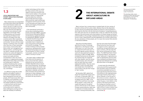

Many rural poor live in remote areas on marginal lands, far from centres of economic activity and from policy makers. Because they are fully dependent on their natural surroundings these people put pressure on the ecosystems in which they live. But this is not the only source of pressure. Competing pressures from other land users (for, for example water or fuel) can undermine the carrying capacity of the environment and current patterns of climate change are having a profound effect on the ecology of dryland areas making it progressively harder to survive in them. Desertification and land degradation are currently undermining the very subsistence of these people, yet it is a topic that receives little attention in international debates.

Agriculture (including dryland agriculture) has been increasingly neglected as a development tool for twenty years or so, yet it has made an unexpected and forceful return to the policy agenda recently, following rapid and unprecedented increases in food prices in 2007 and 2008. While increased food prices are often good for producers they are unpopular with urban dwellers, near the centres of political power, and in the recent past two years they have caused widespread hardship. They also cause difficulty in many rural areas where most people face a food deficit for some months in the year (the 'hungry' or 'lean' months).

By November 2007, global food stocks had reached their lowest point in 25 years. In December 2007, *the Economist's* food-price index reached its highest level since 1845<sup>5</sup>. In the wake of the world food crisis (mostly felt by people in urban areas), the supply-side argument has gained ground, which focuses on the need to increase overall production rather than on measures to increase production in areas, or among communities, that

#### Local innovations and poverty reduction strategies in drylands

modern technology and the market.<br>
But these solutions often pay scant<br>
regard to local socio-economic and<br>
environmental realities or the potential<br> **EDCAL INNOVATIONS AND**<br>
regative impacts of inappropriate<br>
POVERTY REDU modern technology and the market. But these solutions often pay scant regard to local socio-economic and environmental realities or the potential negative impacts of inappropriate and externally-driven solutions. Experientially derived principles about sound soil, water and biomass management tend be ignored, which in turn diminishes and undermines the identity and integrity of farmers and their communities.

> This paper seeks to address these three issues and the questions of how to ensure that basic needs in drylands are met now and how to revitalise degraded areas to ensure their future productivity. The following two sections explore the trends in the international debates on land use and agriculture in drylands, and look at some innovative and successful local responses to these challenges. In the last section we will draw conclusions and sketch the way forward.

Many dryland areas are marginalised rural areas which attract little attention from central decision-makers and donors. As such it is often up to the communities themselves to draw on their own resources and ingenuity to find their own solutions to land degradation and drought. Many of these solutions are innovative and inspiring and deserve more attention and support than they currently receive. Most investments in drylands come from within dryland communities. Farmers will have a keen interest in investing in their own fields when they have, at least reasonably, secure tenure. Communities often draw up their own management and delivery systems, contributing their own labour, materials and skills. Such solutions are usually well-adapted to the local context and possibilities, answer local needs and show innovativeness in their use of local materials or in adapting technologies. With limited means these communities are finding ways to tackle the problems threatening their survival in ways that no policy-maker sitting behind a desk, in a far away capital city, could design.

5The Economist (6/12/2007): The end of cheap food. London: The Economist.

It is difficult to grasp why so little attention and support is given to enhance the strategies that have been developed by and with local people, which have proven their value in enabling rural households to come closer to attaining food sovereignty and resilient livelihoods. Governments – in both the North and the South – as well the donor and research communities tend to respond to these challenges by reciting mantras about the necessity of mobilising

If the international community is serious about eradicating extreme poverty and hunger (MDG1), ensuring environmental sustainability (MDG7) and developing a global partnership for development (MDG8), investing in drylands should be top priority. The only way to successfully and sustainably invest in drylands is to marry local practice and knowledge and scientific knowledge. This involves investing in local successful experiences, developing them further and disseminating them more widely. The participation of CSOs in linking local people, scientists and decisionmakers is one key to success.

## The international debate about agriculture in dryland areas

6The World Bank (2007) - World Development Report 2008 Agriculture for Development. The International Bank for Reconstruction and Development / The World Bank.

face the most severe food shortages. Rising food prices have been seen as a signal to invest in agricultural productivity, through launching a new green revolution, with the hope that poor farmers will benefit from these efforts. The 2008 World Bank's World Development Report<sup>6</sup> was devoted to the 'rediscovery' of agriculture as a path for development and since then many multilateral and bilateral donor agencies have followed suit in putting agriculture back on the agenda.

In recent years the international community and African governments have launched a series of initiatives to promote sustainable land use, to boost agricultural productivity and to find solutions to the ongoing poverty and hunger faced by those living in Africa's drylands. In the first part of this section we review a selection of these and then the second part of this section focuses, in more detail, on the position of the Dutch government, the misalignment between some of its policy goals and mechanisms that need to be put in place to better focus delivery of support towards dryland communities.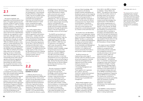

and use of their knowledge, skills and experience will advance progress towards sustainability and development goals and that targeting small-scale agricultural systems helps realise *existing* opportunities. It also firmly states that 'businesses as usual' is not the solution for Africa's increasing food crisis. Despite these recommendations, 'business as usual' seems to continue to be the main focus of the initiatives and programmes currently being proposed as a solution to the world food crisis.

- • Coalition Building,
- • Knowledge Management and • Investments.

On another front, the World Bank launched a multi-stakeholder initiative in Paris in June 2004, called TerrAfrica, which soon became integrated within NEPAD. TerrAfrica is a partnership that aims to address land degradation by scaling up harmonised support for effective and efficient countrydriven Sustainable Land Management practices in Sub-Saharan African countries. It is a collective and inclusive partnership that builds on each partner's relative strengths.

TerrAfrica's partners are implementing a wide range of activities under the umbrella of a joint annual work programme. Activities under the work programme are organised around three mutually reinforcing 'Activity Lines':

These together aim to generate the coalitions, advocacy, 'know-how', policies and investment packages needed for full and effective mainstreaming, up-scaling and financing of sustainable land management.

While already engaged in the TerrAfrica partnership, the African Union members under the lead of President Olusegun Obasanjo, President of the Federal Republic of Nigeria, proposed to the Fifth Ordinary Summit of the African

Union (AU) in July 2005 an initiative to establish a "Green Wall for the Sahara". The objective of the Initiative is to arrest the southern advance of the Sahara desert and to improve the livelihoods of the inhabitants of the Sahelo-Saharan zone. This initiative would help strengthen the implementation of the UNCDD in Africa and be complementary to it. Although there was no formal policy decision on the proposal, the Heads of State supported it and requested the Chairperson of the African Union Commission (AUC) to facilitate its formulation and implementation. One result of this has been the development of "The Great Green Wall for the Sahara and Sahel Initiative (GGWSSI)" which is now included as Priority Action 2 in the 2008-2010 Action Plan of the Africa – EU Partnership on Climate Change.

In the 21<sup>st</sup> Century the emphasis on drylands has focused on including them within broader political agendas. It has also involved a broader constituency, following more general trends towards partnerships, with the private sector and private donors playing a more active role. In 2002, the Comprehensive Africa Agriculture Development Programme (CAADP) was prepared by FAO in collaboration with the NEPAD Secretariat. This initiative, built around the concept of an African Renaissance and spearheaded by South Africa and

around an Afro-centric vision for its own development. It was endorsed by African Ministers of Agriculture in 2003. The aims of CAADP include increasing the area of land under sustainable land management, improving rural infrastructure and trade-related capacity for market access, increasing food supply, reducing hunger, and conducting agricultural research<sup>7</sup>.

Yet in other respects there is an absence of policy towards drylands. For example the EC's political negotiations with Southern governments – notably within the context of the outcomes of political Country Development Strategies and trade agreements such as the Economic Partnership Agreements do not refer, or give any priority to, investing and improving in socioeconomic and ecological conditions in drylands $8$ . This despite the fact that a large majority of the rural poor in the developing world live in drylands and the commitment of the EU and individual member states to alleviating these issues.

The original concept of GGWSSI has evolved from a tree planting initiative to a programme that more broadly promotes sustainable land management practices. It includes promoting an inter-sectoral approach to review, adapt and ensure enactment of laws and policies which promote sustainable land management – and publicise these. It is intended to integrate land management issues within national development strategies, including Poverty Reduction Strategy Papers (PRSPs). The GGWSSI is intended to contribute to the implementation of pan-continental strategic plans such as the NEPAD Comprehensive Africa Agriculture Development Programme and the NEPAD Environmental Plan. The initiative also contributes to increasing environmental sustainability within the framework of existing international environmental agreements, most notably contributing to the implementation of the UNCCD.

The GGWSSI is closely aligned to the TerrAfrica Initiative. In countries where it is being implemented,

# 2.1

#### The policy context

The issues of drylands, land degradation and food production have been on the global agenda since the seventies, initially as a result of United Nations initiatives. In 1977, the United Nations Conference on Desertification (UNCOD) adopted a Plan of Action to Combat Desertification (PACD). This was driven by African countries, which were in the front line of desertification. Initially this was regarded as a standalone topic, although in later years attempts were made to link this issue with agriculture through, for example, the involvement of the FAO. In the 1990s the UNCED decided to renew efforts to combat desertification and launched the negotiations for the Convention to Combat Desertification (the UNCDD) which was adopted in June 1994 and ratified by 50 member states within just over two years, entering into force in December 1996. These UN initiatives as such have not led up to their promise. They received little priority within national agendas and became regarded as more bureaucratic than effective. Nevertheless the UNCCD remains the only global instrument on land degradation and desertification that we have.

8See report by the EC co-authored by Both ENDS' staff on 'Activities undertaken and support provided by the European Community to countries in Asia, Latin America and Caribbean, Central and Eastern Europe regions in the period January 2001 – December 2005', submitted to UNCCD CRIC-5 by The European Commission, prepared by Imeson A., Koning P.C. de, Kistermann H., and Wolvekamp P.S., 2006.

Nigeria, aimed to build consensus

## 2.2

#### New approaches or business as usual?

In 2002 the World Summit on Sustainable Development (WSSD) was held in South Africa. At this summit the FAO and the World Bank initiated a global consultative process on a proposed international assessment of the role of agricultural science and technology. The "International Assessment of Agricultural Science and Technology for Development (IAASTD)" is an international effort that evaluated the relevance, quality

and effectiveness of agricultural knowledge, science, and technology, and the effectiveness of related public and private sector policies and institutional arrangements. The overarching question that it addressed was: "How can agricultural knowledge, science, and technology be used to reduce hunger and poverty, improve rural livelihoods, and facilitate equitable, environmentally, socially and economically sustainable development through the generation, access to, and use of agricultural knowledge, science and technology?"

The IAASTD was launched as an intergovernmental process, with a multi-stakeholder Bureau, under the co-sponsorship of the FAO, GEF, UNDP, UNEP, UNESCO, the World Bank and WHO. In 2004 there was an agreement on the objectives, goals, scope, key questions, design, preparation and peer-review processes, outputs, timetable, budget and governance structure of the assessment. The final assessment report was compiled in 2009 by over 400 of the world's leading agricultural scientists. It is the most comprehensive account of agricultural knowledge, science and technology to date. The key final documents are the Global Summary for Decision Makers, and the Executive Summary of the Synthesis Report.

The main conclusions of IAASTD were listed in 22 findings. These recognised that agricultural knowledge, science and technology has contributed to substantial increases in agricultural production over time, contributing to food security, but that at the same time people have benefited unevenly from these yield increases. It states that the emphasis on increasing yields and productivity has, in some cases, had negative consequences on environmental sustainability. It also states that greater and more effective involvement of women

#### 7UNEP (2006): AEO 2, Op. Cit.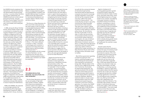

too well with the commercial interests of international agri-business. International seed and agrochemical companies have become increasingly vertically integrated in recent years, with the top five companies having more than a 50% of the world's markets for these products<sup>11</sup>. Not unnaturally they are keen to see policy outcomes that create favourable environments for their products. They take a keen interest in global agricultural fora and have often been accused of unduly seeking to influence policy choices. Yet, the solutions that they would prefer to see are often in conflict with the priorities of local people and their social and environmental realities. Bearing in mind logistics, the costs of chemical inputs and seeds and the limited effectiveness of extension services in Africa, it is likely that Green Revolution interventions will only a small fraction of the many millions of Africans suffering from hunger and poverty. It is likely that those they do reach will be the larger farmers with better access to markets.

Overall it seems that the international community continues to confuse the issues of increasing overall production with that of improving the productive capacity of the most vulnerable (and most hungry) groups. An approach that focuses on the former is unlikely to benefit those people who are now most at risk and it may well further marginalise them. Small-scale dryland farmers are unlikely to be attracted to high cost, high input technologies or be able to afford them, nor do they have the knowledge or capacity to apply them. Local experts observe that the majority of farmers rely on their own resources and ingenuity and that this is unlikely to change significantly in the future. The most effective way of supporting them is by offering incentives that foster their independence and resilience rather than diminish it. This potentially tragic paradox is still very evident in international discourses. Dutch policy makers, while committed to achieving MDG 1, face some tough choices as to how they are to play their part in doing so, as shown in the following section.

Much African government spending is locked into paying for food imports, sustaining emergency food aid, maintaining low food prices for urban populations and paying off foreign debt. With the advent of the financial crisis in 2008 and the strong rise in food prices, this situation has deteriorated significantly. The agricultural policies of EU and USA create low world market prices for agricultural produce which results in an unfair playing field for agricultural production elsewhere. Measures need to be taken to reroute current spending patterns away from relief measures and towards long term investment in the future of African agriculture. For instance, the CAADP budget is slightly less than Africa's total foreign debt of US\$ 290 billion, i.e. debt cancellation could go a long way towards enabling such a transition.

Against a background of mounting global population growth, conventional wisdom argues that world food production needs a further boost, particularly within Africa, which has the highest proportion of hungry people of any continent. Yet adapting a new green revolution is likely to exacerbate existing environmental problems, contributing to a loss of natural and agricultural biodiversity and a weakening of African ecosystems. Research is increasingly bringing to the surface crucial information about how chemical inputs, fungicides and pesticides may have the undesired effect of making plants more susceptible to pests and diseases<sup>12</sup>. In the context of climate change, which is already placing greater strains on ecosystems, production systems and livelihoods, this could be a recipe for disaster.

Few would disagree with this concept of a Green Revolution, but the experiences from the past raise a number of pressing questions about whether such a revolution can indeed be sustainable.

the GGWSSI should complement the international / national level activities with decentralised and ground level activities. In countries where TerrAfrica has not been implemented, the GGWSSI should work at both national level and local levels, using the TerrAfrica Country Support Tool (CST). The initiative is considered unique in that it was initiated, and is being led, by Africa.

<sup>9</sup> Alliance for a Green Revolution in Africa: Strategy for an African Green Revolution. Downloaded from http:// www.agra-alliance.org/section/about at 1 September 2009.

10 Ministry of Agriculture Nature and Food Quality (2009): Credibility, Cooperation and Commitment. Speech at the opening of the High level segment of the 17th session of the UN Commission on Sustainable Development.

12<sub>See</sub> for example Healthy Crops. A New Agricultural Revolution, by Francis Chaboussou, The Gaia Foundation, 2004.

In 2006, during the African Fertiliser Summit, African Heads of State made a commitment to increase the use of inorganic fertilizers from an average of 8kg/ha to 50kg/ha by 2015 and promised concrete steps to provide farmers with better transport, credit, seeds, irrigation facilities, extension services and market information. In the same year, another high-profile initiative: the Alliance for a Green Revolution in Africa (AGRA) was set up, partly in response to a sustained rise in commodity prices which was seen as providing an incentive to improve Africa's agricultural productivity. AGRA seeks to boost productivity with new high-yielding seed varieties and input-intensive agriculture and profiles itself as rescuing the backward agricultural sector of the 'forgotten' continent and bringing it to the forefront of global production<sup>9</sup>. The first AGRA collaborations in 2006 focussed on developing more productive and resilient varieties of Africa's major food crops and supporting agricultural education. The Purchase for Progress programme of the World Food Program is designed to dove-tail with AGRA and will provide a ready market for the additional production. As with AGRA itself, it relies on market mechanisms and pays little attention to issues of equity and redistribution.

AGRA, like GGWSSI, also responds to, and strongly endorses, the Comprehensive Africa Agriculture Development Programme. AGRA is chaired by Kofi A. Annan, the former

Secretary-General of the United Nations. It enjoys extensive support from the Rockefeller Foundation and the Bill & Melinda Gates Foundation, USAID and the UK's Department for International Development and maintains offices in Nairobi, Kenya and Accra, Ghana.

This focus on a Green Revolution for Africa was further enhanced during the recent session of the Commission on Sustainable Development (CSD), in May 2009. The chair of the commission, the Dutch Minister for Agriculture, Nature and Food Quality Gerda Verburg compiled the draft negotiating text for the session, in which she stated: "First and foremost we need a sustainable and homegrown Green Revolution, especially in Africa [...] This means calling for a revolution in ideas, a revolution in technologies and a revolution in agricultural and trade policies and market access as well as providing the financial means"10.

# 2.3

#### The Green Revolution revisited: old solutions for new problems?

The first Green Revolution promoted the use and uptake of high yield seed varieties, fertilisers, together with infrastructure development, extension support and irrigation. This "revolution" started in Mexico and later spread to countries such as India and the Philippines. It managed to realise substantial increases in food

production, but at the same time was usually only taken up by relatively successful farmers who were able to invest in capital intensive agriculture. Thus, it had the unintended effects of strengthening the hand of those who were already economically powerful, increased the gap between rich and poor and made many small-scale farmers and many forms of agricultural labour redundant. The Green Revolution also had a number of environmental side effects, including a reduction of agro-biodiversity through mono-cropping, pollution through pesticides and fertiliser use, and soil salinisation through irrigation. It created unprecedented dependency on external inputs, and exposed farmers to hitherto unknown financial risks. To suggest therefore that this model provides the basis for a second, 'truly sustainable green revolution' ignores the well-documented negative impacts of the first one. There is little evidence to suggest how this second revolution will achieve a more sustainable outcome for the people of Africa, who were generally bypassed by the first Green Revolution.

Despite this the final text of the CSD17 called for a new green revolution to boost agricultural productivity in developing countries and particularly in Africa. This document notably lacks any mention of 'sustainable' in front of 'green revolution': the word having been consistently deleted on behalf of the G77, who feared that the connotation would be 'environmental'. In addition all references to 'sustainability criteria for agricultural practices' were deleted from the text. It remains far from clear how this planned revolution can be implemented in a way that will benefit farmers, and particularly small-scale and female farmers in drylands and remote areas.

Those with development interests at heart also urge caution when considering solutions that dovetail

11Paul H and R. Steinbracher (2003) Hungry Corporations. London, Zed books.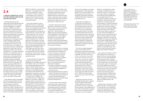

13Source: DGIS 'Meer over droge gebieden' on http://www. minbuza.nl/nl/Onderwerpen/ Millennium\_Ontwikkelingsdoel\_7\_ duurzaam\_leefmilieu/Milieu/Thema\_s/ Droge\_gebieden (accessed on 13 October 2009). LNV/ DGIS policy memorandum Agriculture, rural economic development and food security (May 2008).

and too much emphasis on a projectbased approach, which distracted attention from actual problems. The Dutch government has learnt and recognises that poverty eradication should be linked with investments in sustainable land use.

Dutch policy, as spelled out in 'Agriculture, Rural Economic Development and Food Security', lists increased market access, the participation of the commercial sector and a focus on high value crops as paths forward. This belies an underlying belief that access to the international market is the key to growth and poverty. This underplays the primary value of helping smallscale farmers address their more pressing problems of subsistence, survival, generating surpluses and supplying local markets to feed the regional population.

This can be a viable strategy for many: some 20 million farms in developing countries have expanded into large mechanised market-oriented businesses, but there are still over a *billion rural people running smallscale multi-functional family farms of less than two hectares* – and their numbers are growing. Over 80% of total agricultural production in Africa is consumed locally. In Brazil, family farmers work on 25% of the agricultural land yet produce 65% of the country's food. In Peru, smallholders control around 90% of farms and produce 60% of the total food14. Efforts to reduce hunger and poverty need to start with these people.

Despite the important role that smallholder farmers play in meeting local and regional needs there is a visible tendency for the Dutch government to invest in large-scale land use projects. One explanation for this is that it involves them in signing fewer contracts, thereby reducing transaction costs and increasing

efficiency, a strategy that is partly a response to political pressure to reduce the number of civil servants. As a result, support for initiatives like TerrAfrica and the GWSSI plays an increasingly large role in its international cooperation efforts and investments. The government finds TerrAfrica an attractive project for several reasons: it enhances coherence in policy, implementation, finance and expertise and is owned and led by African governments through NEPAD (rather than being a UN initiative). TerrAfrica also seeks to expand and up-scale existing knowledge and build on proven success stories and is seen as having a potential to make a significant contribution to achieving the MDGs and meeting the objectives of the climate change agenda. All these factors no doubt influenced the Dutch government's decision to make a substantial contribution (of USD 6 million into the Multi Donor Trust Fund to cover the period of January 2008 to April 2012) to TerrAfrica.

Some aspects of TerrAfrica and the Dutch government's support for it deserve further scrutiny and debate. Firstly, one of the ways identified by the Dutch government to achieve poverty alleviation and sustainable use of natural resources is to improve land and ownership rights. The assumption is that when people have access to and control over land, water and other natural resources, they are motivated to make long term investments in protecting and enhancing these resources. However, TerrAfrica does not explicitly seem to embrace this assumption. The Dutch government faces a challenge to ensure that these rights are indeed secured in the programme.

TerrAfrica has a mandate to include NGOs and CSOs in its activities and for these groups to be represented on the governing body of TerrAfrica. However, to date TerrAfrica has not showed enough sign of taking

# 2.4

#### A paradox unravelled: Dutch policies towards agriculture and dryland areas

- 1 Creating an enabling environment for local investments in sustainable land use and the management of natural resources;
- 2 Promoting partnerships for access to markets, through the participation of the commercial sector and aiming at markets with high added value;
- 3 Improving land and ownership rights; 4 Capacity development<sup>13</sup>.

The Dutch government has traditionally pursued separate policies towards agriculture and to poverty and land degradation in drylands. However, in 2008, a joint policy memorandum on Agriculture, Rural Economic Development and Food Security was drawn up by the Dutch Minister for Development Cooperation and the Minister for Agriculture, Nature and Food Quality. The document sets out the government's current thinking on these issues and how the Netherlands intends to address them in the future. The Dutch government is amongst the many donors who have 'rediscovered' agriculture in recent years and has recently earmarked a very welcome 400 million p.a. to support agriculture. However, it is unclear how much of this will reach small-scale farmers in dryland areas, as the general focus of the Dutch government's direct spending is towards multilateral, large-scale programmes. The Dutch government may, for example, well end up supporting AGRA (which is lauded as a model for success in the memorandum) and its interventions which are firmly rooted in the mould of the Green Revolution. This is despite the failings of this approach to make any serious impact on reducing the number of hungry people in large parts of the world in recent years.

14Family farming first, by Bara Gueye, Paulo Petersen, Roberto Ugas, Edith van Walsum and K.S. Gopa, in The Brooker, December 2009.

Dutch Minister Verburg recognised this shortcoming herself at the 17th session of the CSD, where she said "the achievement of the first Millennium Development Goal of halving the number of people living in poverty seems further away than ever." A few months later, at the FAO World Summit on Food Security (November

2009), she called for a second Green Revolution, a sustainable and home grown one, particularly in Africa. "A revolution in ideas, a revolution in technologies and a revolution in agricultural and trade policies and market access, as well as providing the financial means."

Dutch policy appears to have a predominant focus on modernising agriculture, promoting technologytransfer and strengthening agricultural training and extension services. It could be argued that this approach is influenced by the 'success story' that is Dutch agriculture, with its strong emphasis on high input, intensive, specialised production. Equally the country's leading role as a trader in agricultural commodities, may lead politicians (and those who have their ear) to have an overly-optimistic vision about the developmental benefits of engagement in the global market. Some might also claim that a focus on 'hi-tech' approaches also opens up opportunities for Dutch suppliers and expertise. These factors may all influence the Dutch position on global agricultural policy.

The Dutch Minister for Agriculture recognises the importance of developing more drought-resistant and heat-tolerant crops as an important way of helping developing countries adapt to climate change. There is evidence of a somewhat technocratic approach to this problem through, for example, the Dutch Ministry of Development Cooperation recently (in 2008) made a substantial investment of 3 million Euro in ICARDA, the International Centre for Agricultural Research in Dry Areas, in 2008. This research institute is renowned for its high technology capacity and focus on plant genetics. It is also notable that the Dutch government has not yet endorsed the findings of the IAASTD report and appears to distance itself from its conclusions. All this points to an internal discordance in Dutch

policy: on the surface it places much importance on the role of civil society, small-scale investments and local entrepreneurship, yet the *direct* (bilateral) financial investments that it makes in agriculture seem to support projects and programmes that do not embody these values and, in some ways seem to undermine them.

At present, Dutch policy towards agriculture in developing countries does not seem to pay much attention to the paramount importance of agriculture in dryland regions, or address the most pressing problems, of land degradation and drought, that small-scale farmers in these regions are faced with. A more thorough discussion is needed about the potential conflicts that exist between promoting a Green Revolution and the goals of preventing land degradation, rural poverty and hunger.

The Dutch government is committed to helping alleviate poverty in drylands and promoting the sustainable use of natural resources in these areas in order to contribute to national economic development through protecting and restoring ecosystem functions and increasing the productivity of the natural resource base. It has identified 4 paths for achieving this objective:

The Dutch government recognises that previous policy measures have not contributed enough to the goal of alleviating poverty. Contributory factors included insufficient support to internalise sustainable land management in policy and practice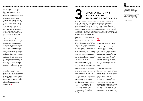#### NOTE S

15<sub>Source: DGIS 'Meer over</sub> droge gebieden' on http://www. minbuza.nl/nl/Onderwerpen/ Millennium\_Ontwikkelingsdoel\_7\_ duurzaam\_leefmilieu/Milieu/Thema\_s/ Droge\_gebieden (accessed on 13 October 2009). LNV/ DGIS policy memorandum Agriculture, rural economic development and food security (May 2008).

this responsibility to heart and genuinely sharing information about its activities with CSOs. The two CSO representatives on its Executive Committee have not been as effective as they could have been in building links between African CSOs and TerrAfrica, and TerrAfrica has not been very proactive in improving this situation in a transparent way. The Dutch government has repeatedly asked TerrAfrica to make greater efforts to include civil society within its activities and take its involvement with African civil society more seriously. This challenge also needs to be addressed by African CSOs themselves.

Finally, while the Dutch government is supporting TerrAfrica's work in Africa, it has not yet announced plans for promoting sustainable natural resource use and alleviating poverty for the 1,627 billion people living in rural drylands outside Africa. This is a pressing challenge that deserves considerably more debate and consideration.

## OPPORTUNITIES TO MAKE POSITIVE CHANGE: ADDRESSING THE ROOT CAUS

There is also a need for both TerrAfrica and the Dutch government – within or outside the framework of its international agricultural policy – to identify the mechanisms(s) to be used to support the many small-scale solutions that dryland agricultural communities are developing. Often these only need a little push (taking away barriers, such as unfavourable land tenure policies, giving incentives for up-scaling or making more information available so farmers get to make more informed choices) to become thriving and sustainable. Effort needs to go into to finding ways of effectively up-scaling these initiatives<sup>15</sup>. These approaches need to be adopted as a matter of urgency. At the other end of the spectrum from the 'grand' ventures described in section 2 lie small-scale alternatives emerging from the dryland communities and Civil Society Organisations (CSOs) themselves. These local grassroots initiatives often fall under the radar of policy makers and the international development community. There are several possible reasons for this, including the firm attachment of the international development community to providing silver bullet solutions and the poor performance of local CSOs and producers in monitoring and documenting their successes and experiences (because of a lack **OPPORTU<br>
POSITIVE<br>
ADDRESS**<br>
At the other end of the spectrum fro<br>
section 2 lie small-scale alternatives  $\epsilon$ <br>
and Civil Society Organisations (CSO<br>
initiatives often fall under the radar c<br>
development community. There

#### 3 . 1

#### SUCCESSFUL LOCAL INITIATIVE

The 'African Re-greening Initiative' Studies done by the Centre for International Cooperation of the Free University of Amsterdam show that vast areas of land in Niger and parts of Burkina Faso now have more vegetative cover than 20 years ago. The researchers discovered that this is due to farmers in the densely populated regions of these countries protecting and managing trees that naturally seed themselves on their farms.

In this section we give some examples of local initiatives that have improved livelihood opportunities and food security of dryland communities, by taking the specific environmental conditions within drylands into account. We then go on to look at how policy makers and donors can contribute to supporting such initiatives and thereby make their development efforts more effective.

The scale of this re-greening is quite remarkable. Estimates suggest that some 5 million hectares in Niger, in the provinces of Zinder en Maradi, have more vegetative cover than before as a result of an estimated 4 million farmers protecting trees. At an average density of 40 trees per hectare the study estimates that some 20 million trees have been nurtured and protected from grazing cattle. This makes it the largest reforestation initiative ever to have occurred in Africa – and one carried out largely through the initiative of farmers; in fact, the government and

Dryland communities are often highly dependent on the natural resources surrounding them and have a direct relationship with them. As a result they can draw on their experience and intuition to react quickly to unexpected events. The ability of communities to cope and respond to change is based partly on historical experience, and partly on survival instincts, knowledge and ability to 'read their environment'. Local communities are often the first to recognise the symptoms of a crisis, since these can have such a profound effect on their daily lives.

CSOs can potentially provide a crucial link between local land users and higher level decision makers. They are the eyes and the ears of the local population, conserving, documenting and spreading traditional knowledge, monitoring the situation and implemen ting activities at a grass-roots level.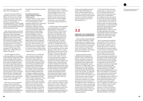that the potential global market for camel's milk could be billions of dollars. It differs significantly from cow's milk, containing enzymes with anti-bacterial and anti-viral properties as well as an insulin-like substance that reduces blood sugar levels in diabetes patients.



# 3.2

#### Spreading local experiences: obstacles and opportunities

There are plenty of good examples of how dryland inhabitants, in Africa and elsewhere, have adapted to the multiple challenges of climate change, water scarcity and food insecurity as well as of policies that successfully reach out to the poor. If there are plenty good examples, what stands in the way of scaling these up?

Scaling-up initiatives involves enabling and encouraging more people to adopt a successful idea, practice, innovation or solution to a certain problem. Of course, this only happens when people see the benefits of changing their normal practices: be it a higher yield, a more diverse diet, a less risky livelihood, a financial gain or a less demanding workload. Secondly, they need to be aware of the initiative, to understand it and to be able to predict how it could work in their own situation. Lack of documentation of best practices and bad communication are often mentioned as obstacles to up-scaling good practices. Communication of knowledge and ideas in the right form is essential. In societies with low levels of literacy this is rarely achieved solely through written documentation but first by enabling people to learn from and share the successes of others: "seeing is believing".

Once interest has been aroused, documentation is important to pass on the knowledge. Appropriate documentation is also important for another group of stakeholders in the scaling-up process: lack of good documentation specifically designed for policy makers is often mentioned as another obstacle to up-scaling. To influence policy, one needs to present sound evidence, i.e. well-documented examples of good practices. Doing this requires specific skills and dedicated resources. Often, it is only the large organisations with good communication officers and a research capability that manage to secure an audience with policy makers, while local voices remain unheard.

But is it necessary to be heard by policy makers in order to spread a good idea? Here we get to the core of the problem: the disconnection between governments, donors and local realities often creates situations in which policies and funding priorities tend to overrule and undermine the up-scaling of small-scale local solutions rather than promoting it. The policy and legal environment and the market situation all influence what local people can and will do. People have no incentive to encourage trees to regenerate on their farms if the government owns them. A sustainable technique of using shallow wells becomes irrelevant if neighbouring companies drill wells up to 200m deep, and have legal backing to do so. Even if such authority is not granted, a lack of government control can still discourage farmers from pursuing more sustainable options in the face of the unsustainable practices of others. Small-scale farming might become impossible if government policies favour producing commodities such as cotton or coffee for export markets, since this will place competing pressures on scarce local resources (land, water etc.). Priority should be given to undertake sustainable and diversified production. And what if

Suid Bokkeveld started marketing wild-harvested rooibos as a distinctive and sustainable product, and has achieved notable success. It is now sold as an exclusive and "climate friendly" product in European and North American markets, enabling the farmers to earn a sustainable income whilst actively caring for the environment.

A similar example of the sustainable use and exploitation of an endemic dryland species can be found in Sanliurfa Province in Turkey, close to the Syrian and Iraqi borders. Local agriculture is dominated by cotton mono-cropping, which accounts for 70% of agricultural production, but requires frequent irrigation (seven to eight times a year). This leads to increased salinity and the loss of nutrients in an already water-scarce area. The area is also home to several indigenous varieties of saffron, one of the most expensive spices in the world, which grow wild in the area. It takes 500 kilograms of bulbs to produce just 200 grams of flower stamens, yet its cultivation only requires 10% of the water that cotton needs. The local university explored the possibility of re-introducing commercial saffron cultivation into the area together with the local farmers. Farmers who took up saffron cultivation found that they doubled or tripled their incomes, which led other farmers to become interested in saffron production. Though small in scope, this project has received national and international acclaim (for example United Nations prizes) and has raised the profile of saffron production both within Turkey and further afield.

Other examples include PhytoTrade Africa, an association trading in natural products from southern African (such as Baobab fruit extract and Marula oil), and the promotion of camel's milk in Rajasthan (India). The Food and Agriculture Organisation (FAO) of the United Nations estimated in 200616

international agencies were hardly aware that it was happening.

Conventional wisdom holds that population pressure has a negative effect on the natural resource base of drylands, but here it seems that farmers are adjusting their farming practices to accommodate an increasing population. Their strategies include protecting saplings, controlling grazing, and sustainable harvesting of woody materials from trees.

When mature the trees can provide additional fodder, help protect crops (particularly in their early growth stages) from desert winds, fix nitrogen, stabilise the soil, raise the water table and provide a source of wood. Their proximity to people's homes means that women spend much less time gathering wood. This farmerled regeneration can eventually lead to the re-emergence of complex ecosystems. In one village in the Maradi region villagers protect 37 different tree species.

The initial triggers for farmers protecting saplings and trees appear to have been the drought years of the 1970s and 1980s, which convinced farmers of the need for protection of trees, strong demographic growth and a shift in perceptions about the ownership of trees – while they remain the property of the state farmers now have *de facto* usufruct rights over them and are prepared to invest in protecting them. A series of informal farmer-to-farmer exchanges slowly led to a spread in the practice that provides farmers with a capital asset for use in times of hardship and a regular stream of benefits.

Other farmers can be supported in taking up these initiatives by changes in user rights, by including farmer-led regeneration approaches within existing and new projects, by promoting farmer exchange visits and publicising this success story

through the mass media and extension services.

#### Sustainable growing and commercialisation of dryland endemic species

Drylands harbour a unique richness of species and breeds, interesting in terms of biodiversity but also potentially valuable from a commercial perspective. Drylands are often perceived as wastelands, whereas in reality these ecosystems provide water, food, fodder, fuel, shelter and medicinal plants. African herders graze no fewer than 150 varieties of cattle, 60 different strains of sheep and 50 different varieties of goats on drylands. There are many food and non-food products on the global market that have originated in drylands and only can be found in these areas. Neem, Aloe Vera and Shea Butter are just a few examples of natural products now widely found in the cosmetic industry, and gum arabic is used in many processed foods found in supermarkets.

*Aspalathus linearis* is a shrub that occurs naturally in western South Africa and has been utilised since pre-history to make rooibos tea. Once just a local product, rooibos is now consumed in many parts of the world. However, the global market is dominated by the fast-growing plantation variety, which is much less resistant to pests and droughts than its wild cousin. Its cultivation has led to widespread destruction of indigenous vegetation and land degradation. On the Suid Bokkeveld plateau a highly adapted, droughtresistant variety of *Aspalathus linearis* occurs naturally in the bio-diverse veld and is used to produce a high quality tea. For the area's small-scale farmers, the productivity of their lands (and thus their livelihoods) is extremely vulnerable to fluctuations in climate and weather patterns, to over-cultivation and to overgrazing. In 2002 the Heiveld Co-operative in

16http://www.fao.org/newsroom/en/ news/2006/1000275/index.html.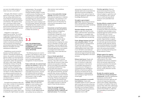and practice of people who live in drylands need to be incorporated into agricultural and land management discourses and be used as a basis for setting the agenda for agricultural and knowledge development.

#### Strengthen agroecological approaches: Agroecological sciences have a vast potential to addressing environmental issues while maintaining and increasing productivity.

Stimulate dialogue among land users: In order to for them to more clearly understand their requirements and challenges, to strengthen their position in negotiations and to better inform sustainable land use planning.

Foster dialogue between local land users and policy makers: Through capacity building of (representatives of) local land users and policy makers, they will come to a better understanding of each other, which in turn will lead to more balanced land use plans and decisions (at local, national and regional level) that tackle environmental degradation and social exclusion.

Enhance land tenure: People with no or poorly defined land tenure have no incentive to make long term investments in their land or in sustainable improvements of natural resources. Dialogues on comprehensive and unambiguous definition of land tenure systems should be stimulated with the aim of developing an understandable and unambiguous legal framework of land rights.

#### Promote investments in successful

Broaden the analytical capacity and skills base among development professionals: Scientists, development practitioners and the staff of international and donor agencies and national and regional governments need to have a better understanding of complex rural realities if they are to improve them rather than undermining them by seeking to impose "quick fix" solutions that threaten to undermine the sustainability of local land use systems.

local initiatives: Create easily accessible systems of micro-credit and seed money that prioritise enhancing the sustainability of existing practices. Stimulate more small-grant systems under different financial mechanisms, such as the Climate Change Adaptation fund or GEF.

implementation. The successful scaling-up of local sustainable initiatives therefore needs to include a careful process of building up locallevel experiences to higher levels, including all the involved stakeholders, and respecting local culture and local institutions. These are long-term processes that involve investing much time and energy. However the process of highlighting other people's positive experiences and achievements can inspire others and encourage them to adopt new practices.

Prioritise agriculture: National governments should honour their commitment of directing 10 % of national budgets to agriculture and rural, development with a special focus on small-scale agricultural producers and sustainable food systems.

Develop effective, people-oriented extension services: Agricultural extension services (where they exist) should expand their focus on increasing the yields and productivity of selected crops and adopt a more integrated approach which embraces the sustainable use of natural resources, ecosystem services and storing, processing and marketing produce. Opportunities to support the innovation and entrepreneurship of small-scale agricultural producers should be actively explored. Special focus should be placed on the needs and constraints of women producers and to this end priority should be given to recruiting and training more female extension workers.

Mitigate against the negative impacts of international trade: Fragile national agricultural markets need protection from (often subsidised) international competition which can seriously undermine the productive potential of the domestic agricultural sector, having serious long-term negative effects on food security, poverty alleviation and the environment.

## 3.3

#### How the international community and national governments can support and encourage local initiatives

The following issues are crucial to consider in the attempt to reach out to the people living in drylands, to fight poverty, to increase food production, and to stimulate sustainable management of natural resources.

Foster small-scale, low external input and low cost solutions: A high priority should be given to small-scale, low external-input and low cost solutions regarding agricultural production and sustainable land practices, activities and initiatives that are successful should be actively scouted, gathered, documented in order to realise existing opportunities.

Focus on local seed and livestock varieties: These are often best adapted to local conditions (soil, climate, sun hours etc.). Many improvements in agricultural production can be achieved by focusing on locally adapted species and varieties that are resilient to,

often extreme, local conditions and variations.

### Focus on how pastoralists manage

drylands: Pastoralist communities have extensive experience in drylands management. This experience is not only valuable to them, but also an important source of information for improving the sustainability of land management.

#### Concentrate on local food systems:

Intensive export-oriented agriculture often has adverse consequences, leading to the export, and unsustainable management, of soil nutrients and water, or exploitative labour conditions. It also puts commercial considerations above local ecological realities – often introducing mono-cropping into areas that are vulnerable to drought, pests and disease. Local and regional food systems tend to be more diverse than commodity agriculture, more resilient to ecological and market shocks and provide a more varied diet and nutrient intake.

#### Focus on female agricultural

producers: Female producers are at the heart of efforts for poverty reduction. They often remain in rural areas while the men go to urban areas (national and overseas) to find jobs and are more likely to be responsible for growing household food crops. As such they have extensive knowledge of, experience and practice with, agricultural production. Yet their potential often remains unfulfilled by a range of social and economic factors (e.g. lack of access to credit, extension or training). Policies and programmes should recognise this potential and these constraints and provide sufficient and suitable incentives to meet the needs of these female producers.

Foster the marriage between existing knowledge, technology and practice (formal, traditional and local) and science: The knowledge

your poor, but stable existence, is drawn into war or civil conflict?

Strangely, little attention is paid to lessons from the past. These show that up-scaling needs bottom-up local initiatives and good practices and top-down support and enabling circumstances. This requires a longterm commitment (often at least five years), whereas most donor and governmental programmes have short time horizons and are driven by shortterm objectives and results.

Integration is a key word in supporting up-scaling. This involves integrating interests, sectors and stakeholders; targeting both farmers and cattle breeders – as in many SSA countries they are symbiotic; aligning market circumstances and land use laws and policies and integrating environmental objectives into Poverty Reduction Strategies and other development programmes.

Establishing a sound connection between local field realities and national / international programmes, donors, the scientific community and decision makers is of vital importance. This can be done through civil society organisations, better documentation, site visits or other means. Making and keeping a strong a strong link is vital to ensure that government and donor policy is anchored in a realistic view of local realities. When bottom-up and top-down meet, this can lead to a fruitful collaboration in up-scaling successful practices can occur: it can trigger innovations and adaptations, lead to investment in, and dissemination of, proven or promising strategies.

Successful local initiatives often only occur when a number of circumstances are right. This is why it is often difficult to up-scale initiatives to other areas where not all of the required circumstances are in place, even if one is missing this might hamper successful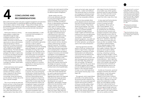

assets such as land, water, inputs and know how – modern and traditional. They should also draw on sound land use management methods practised by people elsewhere working under more or less comparable conditions.

There are many examples where poorly designed external interventions have led to environmental destruction and human hardship. These lessons should not be forgotten. One of the major challenges in the coming years is to focus on positive examples of successful marriages between modern insights and techniques and traditional know-how and approaches. It is important to identify tangible, 'home grown', improvements in dryland management, crop yields and human welfare that can be adopted for further replication, up-scaling and used to inform policy development.

Improving agriculture and other systems of land use, including mixed systems of agro-forestry, range land management, harvesting non-timber forest products and veld products is by far the most cost-effective way of promoting pro-poor economic development. This process starts with what local people grow and harvest from their fields, their gardens and their surroundings. This approach requires a shift from the current donor and research agenda, which largely promote simplified production systems based on a few improved varieties of crops, to one in which agricultural and ecosystem diversity plays a much larger role.

This approach, which closely follows and builds on the realities faced by the poorest and their methods of risk aversion is the most prudent approach towards improving the conditions of the poor and their ability to feed themselves and their families. This approach directly relates to issues of land tenure, usufruct rights and gender. It also requires acknowledging that most rural people depend on a

wide range of sources of production: annual arable crops, kitchen gardens, perennial crops from trees and bushes, fruits, nuts, leaves and other sources rich in protein, vitamin and animal protein from milk or meat, fish or fowl.

Small-scale farmers tend to spread their risks as a strategy against setbacks, engaging in a range of activities and raising a variety of crops in response to risky climatic, environmental and economic surroundings. Farmer-led initiatives put the reduction of these risks at the heart of growth strategies.

In many cases local food production is severely limited by shortages in terms of minerals and other key ingredients. Africa's soils are often mineral depleted. This is often presented as an argument for increasing the use of fertilisers. But there are social, economic and ecological constraints to this solutionfarmers (especially women) often do not have the money or access to credit to pay for these inputs – especially if they are for 'subsistence crops' and poor infrastructure means that such inputs are often not available. Finally, to be effective artificial fertilisers need an adequate supply of water something that, by definition, is in short supply in drylands. Often local resources can be used to address this deadlock, and this can involve manuring, composting or growing legumes to capture nitrogen. In some cases however these solutions may not be sufficient to overcome a serious mineral deficiency – which might then require targeted application of specific inputs ('micro-dosing'), although the social and economic constraints of actually getting these inputs to the farmers still need to be overcome.

A similar set of economic, social and ecological constraints also influences seed selection. Local, home grown, seed varieties are often better adapted to local climatic conditions than seeds brought in ex-situ. Farmers often rely on a diversity of crops and species that enable them to make better use of the different qualities of their land, make the best use of unreliable rainfall and provide a form of insurance against drought, pests and diseases19. Hybrid seeds may achieve higher yields but only under conditions that can be carefully controlled.

Technocratic solutions to solving these problems, notably those channelled through the large multilateral institutions, have an irresistible attraction to policy makers. Economies of scale and the opportunity to reduce administrative costs are key factors in donors' preference for funding conventional large-scale schemes and institutions such as AGRA and other NEPADrelated initiatives. This leads decisions about budget allocations and aid packages to be taken in capital cities, far away from the field and with little or no involvement of the targeted beneficiaries themselves. This is despite the recorded shortcomings of 'silver bullet' solutions, classically a package of fertilisers, hybrid seeds and pesticides.

<sup>17</sup>See report by the EC co-authored by Both ENDS' staff on 'Activities undertaken and support provided by the European Community to countries in Asia, Latin America and Caribbean, Central and Eastern Europe regions in the period January 2001 – December 2005', submitted to UNCCD CRIC-5 by The European Commission, prepared by Imeson A., Koning P.C. de, Kistermann H., and Wolvekamp P.S., 2006.

18 Managing pests and diseases with crop diversity. By Casandra Moore, Geneflow News, Biodiversity International, 2008.

19 Agricultural biodiversity: the key to solving the food crises? by Emile Erison, Geneflow News, Biodoversity international, 2008.

This is not to say that we need only bottom-up focus, or that all top-down programmes should be abandoned. Some suggest that we should look for a 'Rainbow Revolution' rather than a New Green Revolution, and carefully explore these ideas with all

the involved stakeholders, in order to promote food sovereignty in a sustainable way.

From a policy perspective, there is an urgent need to place more emphasis on participatory approaches and tools in order to capture and understand local land users' knowledge and practices for managing pests and diseases, for maintaining soil fertility and using water in the most effective way. Tapping into this knowledge is the most direct way to find solutions that suit local needs, local vulnerabilities, local preferences and the local environment<sup>18</sup>. For example, locally available knowledge on restoring vegetation and the productive capacity can contribute significantly to reducing pressure on fragile local resources.

Meaningful development and participation of grass-roots structures is required. This can be achieved by sharing and/or transferring authority, responsibility and resources to a more local level. Decentralising natural resource management programmes and policy decisions is an important aspect of this. In some cases, the role of national parliaments needs to be strengthened. Support and political commitment – both domestic and from the international community – to institutional reforms, democratic governance and gender issues in affected countries is required. Local

institutions also need capacity building and experience-sharing programmes for effective dryland management.

Gender needs to be more continuously addressed, especially in country level programmes and political dialogues. This is crucial to achieve an equitable and effective division of responsibilities and benefits in dryland management. Policy makers need to continually reflect on how they can support women producers. This, first of all, requires the acknowledgement, that one of the single most important factors underlying poverty, malnutrition, environmental degradation and the loss of biodiversity is the limited control that women have over land and their limited access to seeds, credit, extension services, education, markets, political power and other important resources. This implies a re-thinking of the costs and benefits of New Green Revolution approaches and re-evaluating them in relation to those of traditional land use systems. It requires more serious and committed investigation of and engagement with existing local land-use strategies: identifying and building on their strengths and potential and working on reducing their weaknesses. Above all this requires improving the knowledge and capacity of women who play a key role in assuring there is nutritious food on the household table.

With land degradation happening in 70% of the world's drylands that are used for agricultural production, efforts to halt it and to restore degraded lands need to be integrated with policies that target agriculture and food production. This involves identifying the root causes of degradation: demographic changes; adverse land tenure policies; social changes; markets; and macroeconomic policies. Only then can policies be put in place to address these root causes. Often these will require improving equality of access to

# CONCLUSIONS AND RECOMMENDATIONS

More political priority needs to be given to dryland management and restoration. This is a key precondition to achieving the MDGs and allowing vulnerable communities to adapt to climate change<sup>17</sup>. These political changes need to be embedded in the framework of trade and ODA agreements, notably within EU Country Strategies with Southern host countries and other international policy negotiations.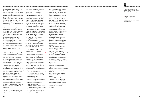

Also the higher bulk of hybrids may be of a less nutritious value than traditional varieties, or less well suited to local cooking patterns. Lastly, using hybrids usually prevents farmers from producing their own seeds for the next sowing season, which means that the farmer has to buy seed every year instead of being able to set aside (the most promising) part of the harvest as seed material for the next season.

Much conventional agricultural development involves reducing the diversity of crops and diets, often with a resultant loss in nutritional value – or seasonal nutritional availability. New drives to promote a green revolution, such as those pursued by AGRA, will only increase this troubling development. At a time of rising global food prices, the need for self-reliance in food is greater than ever before20, and food *sovereignty* is increasingly being recognised as a powerful way of ensuring food *security* .

Women in the dryland regions of Africa typically take charge of feeding and nourishing the family. In rural and peri-urban areas, women are often also responsible for collecting nutritious plants, tubers and other foodstuffs from the wild, which they use to supplement the family diet. They are responsible for managing small parcels on the family farm or for growing food in small gardens around the home. The crops that they produce include leafy traditional vegetables and 'minor' staples such as tubers, legumes etc. They sell any surplus in markets, providing a vital extra source of income – for schooling, clothing, etc. and emergency situations. These responsibilities provide women with a wealth of knowledge about local food and food preparation traditions, handed down from generation to generation.

Agricultural policies have led to a significant shift from traditional food crops to cash crops such as ground nut, cotton, and rice, reducing the availability of traditional crops. Women play an important in maintaining traditional diets and the dietary, seasonal and nutritional diversity that they represent. In this respect women can be considered the primary guardians of diversity. Their knowledge forms a cornerstone to achieve food sovereignty, nutrition and health in rural dryland regions.

Taking the realities of rural dryland food producing economies as a point of departure implies fully recognising the key role of women and giving them full support. This is fundamental if any progress is to be made in reaching MDG 1. In this respect the international community and African governments have clearly failed so far. This issue clearly needs to be addressed if any serious progress is to be made in this respect.

20Food and traditional in Nepal: a melting pot of diversity, by Bhuwon Sthapit, Ambika Thapa, in Geneflow News, Biodiversity International, 2008.

21 Including Mamadou Goita, a social-economist from Mali and Noel Oettle, a representative from the South African NGO Environmental Monitoring Group.

In May 2009 Both ENDS hosted a meeting with some leading development experts from the South<sup>21</sup> in which the issues underlying this paper were discussed. Apart from contributing to the development of this briefing paper, a number of recommendations emerged about how to further support sustainable local land use initiatives and promote participative policies towards food security and dryland management. These included the following further recommendations:

- • Get a better insight into the realities in the field and learn from local experiences. Invest in things that have proven successful.
- • Emphasise the importance of bottom-up approaches, grassroots movements and farmer-to-farmer exchange and communication.
- Invest in partnerships.
- • "Small amounts of money carefully and strategically invested in the right places and partnerships can sort more effect than large amounts of money in the wrong places."
- • Bring good practice and positive stories into the limelight.
- Tackle the obstacles to up-scaling by improving documentation and communication of good practices and local success stories. Seeing = believing, so visits are more inspiring than stories on paper.
- To influence policy, start from evidence (i.e. well-documented examples of good practices) rather than from the conceptual level.
- • Combine traditional governance systems and local practice with new approaches and technologies to manage natural resources, regulate access to water, land and grazing grounds.
- Invest in participatory research systems, local knowledge and practice to improve the productivity of local seeds. Reliance solely on external seed systems is not sustainable.
- Involve stakeholders at all levels, including academics, so that extension practitioners, producers and students have tools and knowledge about integrated natural resource management and best practices.
- Focus in the first instance on local markets and food demand, then on regional markets and only then look further afield.
- African governments need support in financial policy formulation. If they could make better use of the revenues from their natural resources they would have less need for foreign aid.
- • Bring decision-makers from the South to forums like this expertmeeting.
- Reorient AGRA towards a sustainable Rainbow Revolution that takes into account the different agro-ecological settings, farmers' – male and female – stakes and interests and ecosystems' limitations.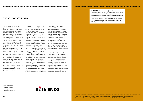With the support of the Dutch government (DGIS) and the European Commission, Both ENDS and its partners have focused on land degradation, and drylands in particular, as a key issue. The main focus has always been to support southern organisations in their efforts to protect their land and livelihoods.

In all corners of the world, local land users - farmers, pastoralists, forest dwellers - and civil society organisations have developed sound land management strategies, often based on local knowledge and local traditions, and these practices have stood the test of time. Many of these approaches have achieved noteworthy successes. However, these successes are often not published and need to be brought to the attention of colleagues in other countries as well as policy makers both in the South and in the North. Both ENDS is devoted to the analysis and promotion of these experiences and supports the exchange of learning experiences amongst southern partners and other key actors.

Both ENDS' staff co-authored the European Commission's Report to the UNCCD on activities undertaken and support provided by the Commission to combat desertification. Both ENDS is a managing member of Drynet, an EC-funded project that involves 14 civil society project partners in 17 countries that work together with dryland communities on abating land degradation, through practical initiatives and through policy dialogue. Drynet has grown into a network of organisations that strengthen civil society in their respective countries. It provides access to the information and skills needed to enhance knowledge and visibility so these organisations can positively influence policies. A second aim is to build international links between CSOs so that they can learn from each others' experiences and share knowledge. Drynet's partners have embarked on building dialogue, civil society platforms and cooperative structures within their countries, all of which are affected by desertification and land degradation. These strong CSO platforms have provided a crucial tool to promote collaboration between

civil society and policy makers, scientists and the private sector. They have provided a unique access point to local sources of knowledge on drylands and the unique resources that they harbour. They have laid the foundation for national cooperation, which is the basis for any meaningful representation in policy processes at the international level. The Drynet network plans to continue to represent the views and experiences of dryland communities and people and to bridge the gap between local dryland realities and political and development processes.

Both ENDS also builds links between civil society and local stakeholders in drylands and the scientific community through ongoing research projects. It is a partner in the DESIRE joint research project, under the EC Framework Programme. Both ENDS is a member of the International Alliance for the Regreening of Africa and is co-founder and member of the International Analog Forestry Network. Both of these partnerships support locally-led ecosystem regeneration.

More information: www.bothends.org www.dry-net.org www.desire-project.eu



## The role of Both ENDS

Both ENDS strives for a socially just and sustainable world. To this end we support organisations in developing countries that are active in the areas of poverty alleviation and environmental management. These local organisations have in depth knowledge of what the problems are and often come up with inspiring, sustainable solutions. We support them by providing information and mediation in funding, lobbying and networking.